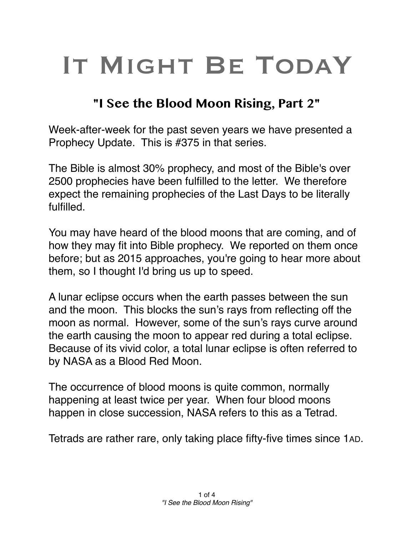## IT MIGHT BE TODAY

## **"I See the Blood Moon Rising, Part 2"**

Week-after-week for the past seven years we have presented a Prophecy Update. This is #375 in that series.

The Bible is almost 30% prophecy, and most of the Bible's over 2500 prophecies have been fulfilled to the letter. We therefore expect the remaining prophecies of the Last Days to be literally fulfilled.

You may have heard of the blood moons that are coming, and of how they may fit into Bible prophecy. We reported on them once before; but as 2015 approaches, you're going to hear more about them, so I thought I'd bring us up to speed.

A lunar eclipse occurs when the earth passes between the sun and the moon. This blocks the sun's rays from reflecting off the moon as normal. However, some of the sun's rays curve around the earth causing the moon to appear red during a total eclipse. Because of its vivid color, a total lunar eclipse is often referred to by NASA as a Blood Red Moon.

The occurrence of blood moons is quite common, normally happening at least twice per year. When four blood moons happen in close succession, NASA refers to this as a Tetrad.

Tetrads are rather rare, only taking place fifty-five times since 1AD.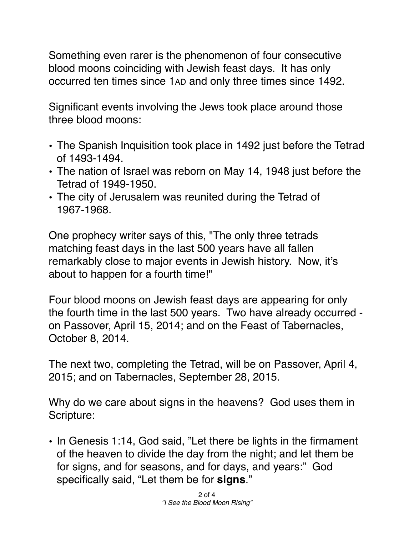Something even rarer is the phenomenon of four consecutive blood moons coinciding with Jewish feast days. It has only occurred ten times since 1AD and only three times since 1492.

Significant events involving the Jews took place around those three blood moons:

- The Spanish Inquisition took place in 1492 just before the Tetrad of 1493-1494.
- The nation of Israel was reborn on May 14, 1948 just before the Tetrad of 1949-1950.
- The city of Jerusalem was reunited during the Tetrad of 1967-1968.

One prophecy writer says of this, "The only three tetrads matching feast days in the last 500 years have all fallen remarkably close to major events in Jewish history. Now, it's about to happen for a fourth time!"

Four blood moons on Jewish feast days are appearing for only the fourth time in the last 500 years. Two have already occurred on Passover, April 15, 2014; and on the Feast of Tabernacles, October 8, 2014.

The next two, completing the Tetrad, will be on Passover, April 4, 2015; and on Tabernacles, September 28, 2015.

Why do we care about signs in the heavens? God uses them in Scripture:

• In Genesis 1:14, God said, "Let there be lights in the firmament of the heaven to divide the day from the night; and let them be for signs, and for seasons, and for days, and years:" God specifically said, "Let them be for **signs**."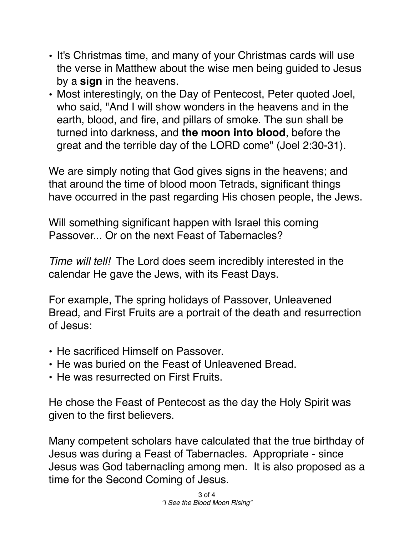- It's Christmas time, and many of your Christmas cards will use the verse in Matthew about the wise men being guided to Jesus by a **sign** in the heavens.
- Most interestingly, on the Day of Pentecost, Peter quoted Joel, who said, "And I will show wonders in the heavens and in the earth, blood, and fire, and pillars of smoke. The sun shall be turned into darkness, and **the moon into blood**, before the great and the terrible day of the LORD come" (Joel 2:30-31).

We are simply noting that God gives signs in the heavens; and that around the time of blood moon Tetrads, significant things have occurred in the past regarding His chosen people, the Jews.

Will something significant happen with Israel this coming Passover... Or on the next Feast of Tabernacles?

*Time will tell!* The Lord does seem incredibly interested in the calendar He gave the Jews, with its Feast Days.

For example, The spring holidays of Passover, Unleavened Bread, and First Fruits are a portrait of the death and resurrection of Jesus:

- He sacrificed Himself on Passover.
- He was buried on the Feast of Unleavened Bread.
- He was resurrected on First Fruits.

He chose the Feast of Pentecost as the day the Holy Spirit was given to the first believers.

Many competent scholars have calculated that the true birthday of Jesus was during a Feast of Tabernacles. Appropriate - since Jesus was God tabernacling among men. It is also proposed as a time for the Second Coming of Jesus.